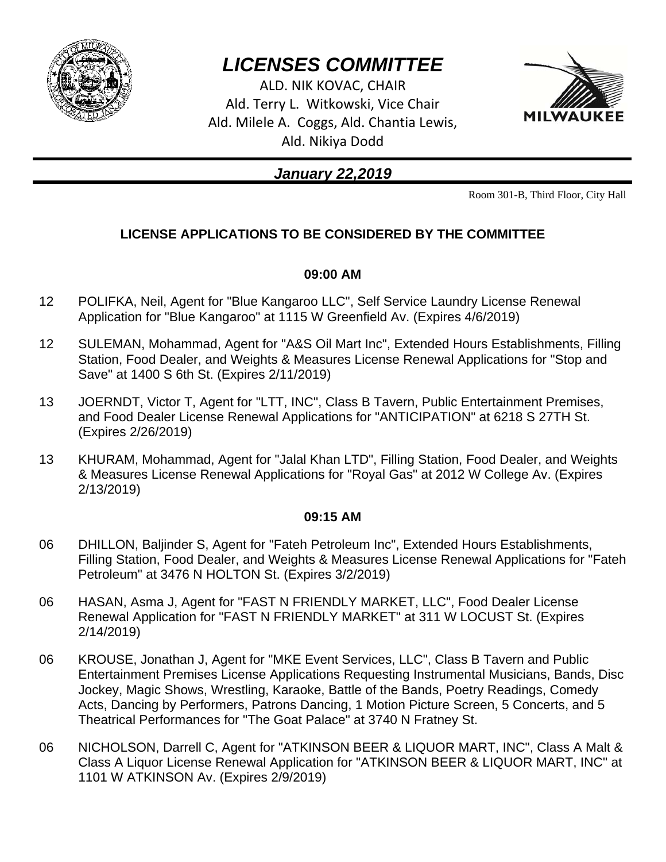

# *LICENSES COMMITTEE*

ALD. NIK KOVAC, CHAIR Ald. Terry L. Witkowski, Vice Chair Ald. Milele A. Coggs, Ald. Chantia Lewis, Ald. Nikiya Dodd



# *January 22,2019*

Room 301-B, Third Floor, City Hall

# **LICENSE APPLICATIONS TO BE CONSIDERED BY THE COMMITTEE**

# **09:00 AM**

- 12 POLIFKA, Neil, Agent for "Blue Kangaroo LLC", Self Service Laundry License Renewal Application for "Blue Kangaroo" at 1115 W Greenfield Av. (Expires 4/6/2019)
- 12 SULEMAN, Mohammad, Agent for "A&S Oil Mart Inc", Extended Hours Establishments, Filling Station, Food Dealer, and Weights & Measures License Renewal Applications for "Stop and Save" at 1400 S 6th St. (Expires 2/11/2019)
- 13 JOERNDT, Victor T, Agent for "LTT, INC", Class B Tavern, Public Entertainment Premises, and Food Dealer License Renewal Applications for "ANTICIPATION" at 6218 S 27TH St. (Expires 2/26/2019)
- 13 KHURAM, Mohammad, Agent for "Jalal Khan LTD", Filling Station, Food Dealer, and Weights & Measures License Renewal Applications for "Royal Gas" at 2012 W College Av. (Expires 2/13/2019)

# **09:15 AM**

- 06 DHILLON, Baljinder S, Agent for "Fateh Petroleum Inc", Extended Hours Establishments, Filling Station, Food Dealer, and Weights & Measures License Renewal Applications for "Fateh Petroleum" at 3476 N HOLTON St. (Expires 3/2/2019)
- 06 HASAN, Asma J, Agent for "FAST N FRIENDLY MARKET, LLC", Food Dealer License Renewal Application for "FAST N FRIENDLY MARKET" at 311 W LOCUST St. (Expires 2/14/2019)
- 06 KROUSE, Jonathan J, Agent for "MKE Event Services, LLC", Class B Tavern and Public Entertainment Premises License Applications Requesting Instrumental Musicians, Bands, Disc Jockey, Magic Shows, Wrestling, Karaoke, Battle of the Bands, Poetry Readings, Comedy Acts, Dancing by Performers, Patrons Dancing, 1 Motion Picture Screen, 5 Concerts, and 5 Theatrical Performances for "The Goat Palace" at 3740 N Fratney St.
- 06 NICHOLSON, Darrell C, Agent for "ATKINSON BEER & LIQUOR MART, INC", Class A Malt & Class A Liquor License Renewal Application for "ATKINSON BEER & LIQUOR MART, INC" at 1101 W ATKINSON Av. (Expires 2/9/2019)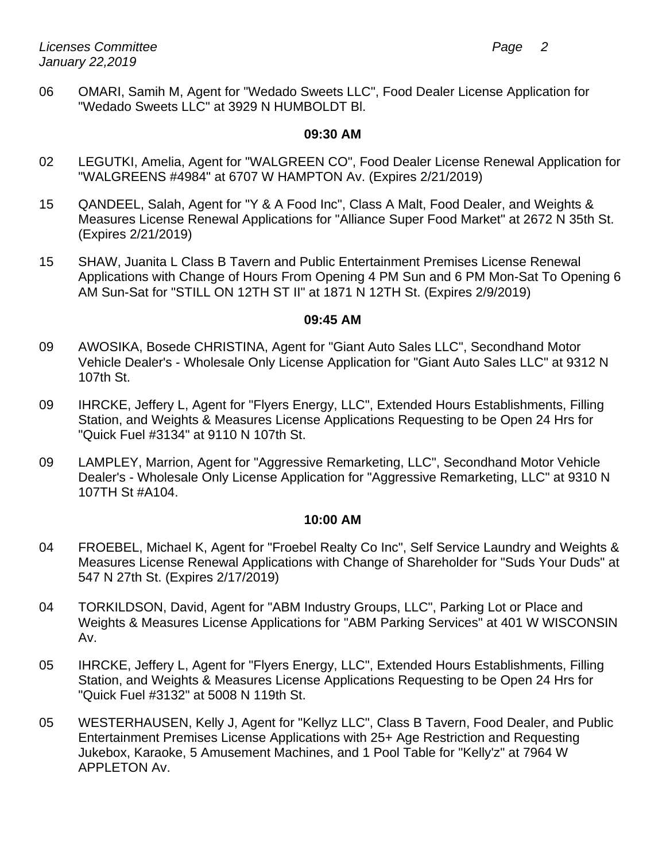06 OMARI, Samih M, Agent for "Wedado Sweets LLC", Food Dealer License Application for "Wedado Sweets LLC" at 3929 N HUMBOLDT Bl.

#### **09:30 AM**

- 02 LEGUTKI, Amelia, Agent for "WALGREEN CO", Food Dealer License Renewal Application for "WALGREENS #4984" at 6707 W HAMPTON Av. (Expires 2/21/2019)
- 15 QANDEEL, Salah, Agent for "Y & A Food Inc", Class A Malt, Food Dealer, and Weights & Measures License Renewal Applications for "Alliance Super Food Market" at 2672 N 35th St. (Expires 2/21/2019)
- 15 SHAW, Juanita L Class B Tavern and Public Entertainment Premises License Renewal Applications with Change of Hours From Opening 4 PM Sun and 6 PM Mon-Sat To Opening 6 AM Sun-Sat for "STILL ON 12TH ST II" at 1871 N 12TH St. (Expires 2/9/2019)

#### **09:45 AM**

- 09 AWOSIKA, Bosede CHRISTINA, Agent for "Giant Auto Sales LLC", Secondhand Motor Vehicle Dealer's - Wholesale Only License Application for "Giant Auto Sales LLC" at 9312 N 107th St.
- 09 IHRCKE, Jeffery L, Agent for "Flyers Energy, LLC", Extended Hours Establishments, Filling Station, and Weights & Measures License Applications Requesting to be Open 24 Hrs for "Quick Fuel #3134" at 9110 N 107th St.
- 09 LAMPLEY, Marrion, Agent for "Aggressive Remarketing, LLC", Secondhand Motor Vehicle Dealer's - Wholesale Only License Application for "Aggressive Remarketing, LLC" at 9310 N 107TH St #A104.

#### **10:00 AM**

- 04 FROEBEL, Michael K, Agent for "Froebel Realty Co Inc", Self Service Laundry and Weights & Measures License Renewal Applications with Change of Shareholder for "Suds Your Duds" at 547 N 27th St. (Expires 2/17/2019)
- 04 TORKILDSON, David, Agent for "ABM Industry Groups, LLC", Parking Lot or Place and Weights & Measures License Applications for "ABM Parking Services" at 401 W WISCONSIN Av.
- 05 IHRCKE, Jeffery L, Agent for "Flyers Energy, LLC", Extended Hours Establishments, Filling Station, and Weights & Measures License Applications Requesting to be Open 24 Hrs for "Quick Fuel #3132" at 5008 N 119th St.
- 05 WESTERHAUSEN, Kelly J, Agent for "Kellyz LLC", Class B Tavern, Food Dealer, and Public Entertainment Premises License Applications with 25+ Age Restriction and Requesting Jukebox, Karaoke, 5 Amusement Machines, and 1 Pool Table for "Kelly'z" at 7964 W APPLETON Av.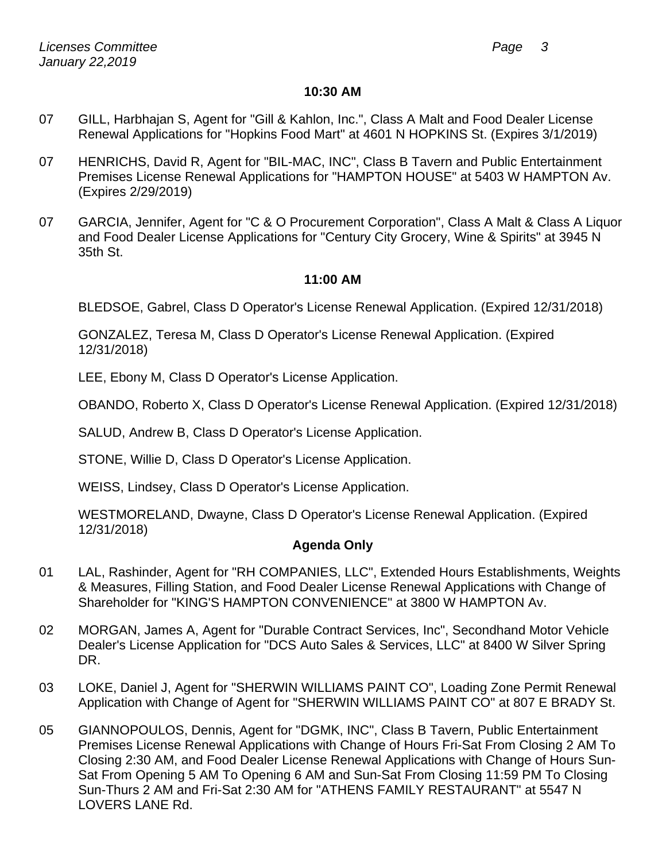#### **10:30 AM**

- 07 GILL, Harbhajan S, Agent for "Gill & Kahlon, Inc.", Class A Malt and Food Dealer License Renewal Applications for "Hopkins Food Mart" at 4601 N HOPKINS St. (Expires 3/1/2019)
- 07 HENRICHS, David R, Agent for "BIL-MAC, INC", Class B Tavern and Public Entertainment Premises License Renewal Applications for "HAMPTON HOUSE" at 5403 W HAMPTON Av. (Expires 2/29/2019)
- 07 GARCIA, Jennifer, Agent for "C & O Procurement Corporation", Class A Malt & Class A Liquor and Food Dealer License Applications for "Century City Grocery, Wine & Spirits" at 3945 N 35th St.

# **11:00 AM**

BLEDSOE, Gabrel, Class D Operator's License Renewal Application. (Expired 12/31/2018)

GONZALEZ, Teresa M, Class D Operator's License Renewal Application. (Expired 12/31/2018)

LEE, Ebony M, Class D Operator's License Application.

OBANDO, Roberto X, Class D Operator's License Renewal Application. (Expired 12/31/2018)

SALUD, Andrew B, Class D Operator's License Application.

STONE, Willie D, Class D Operator's License Application.

WEISS, Lindsey, Class D Operator's License Application.

WESTMORELAND, Dwayne, Class D Operator's License Renewal Application. (Expired 12/31/2018)

# **Agenda Only**

- 01 LAL, Rashinder, Agent for "RH COMPANIES, LLC", Extended Hours Establishments, Weights & Measures, Filling Station, and Food Dealer License Renewal Applications with Change of Shareholder for "KING'S HAMPTON CONVENIENCE" at 3800 W HAMPTON Av.
- 02 MORGAN, James A, Agent for "Durable Contract Services, Inc", Secondhand Motor Vehicle Dealer's License Application for "DCS Auto Sales & Services, LLC" at 8400 W Silver Spring DR.
- 03 LOKE, Daniel J, Agent for "SHERWIN WILLIAMS PAINT CO", Loading Zone Permit Renewal Application with Change of Agent for "SHERWIN WILLIAMS PAINT CO" at 807 E BRADY St.
- 05 GIANNOPOULOS, Dennis, Agent for "DGMK, INC", Class B Tavern, Public Entertainment Premises License Renewal Applications with Change of Hours Fri-Sat From Closing 2 AM To Closing 2:30 AM, and Food Dealer License Renewal Applications with Change of Hours Sun-Sat From Opening 5 AM To Opening 6 AM and Sun-Sat From Closing 11:59 PM To Closing Sun-Thurs 2 AM and Fri-Sat 2:30 AM for "ATHENS FAMILY RESTAURANT" at 5547 N LOVERS LANE Rd.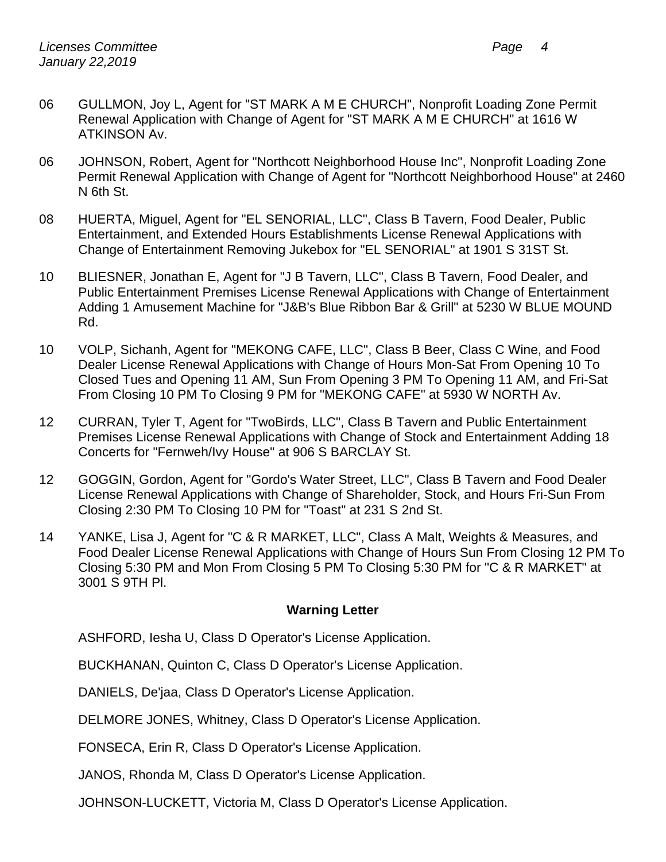- 06 GULLMON, Joy L, Agent for "ST MARK A M E CHURCH", Nonprofit Loading Zone Permit Renewal Application with Change of Agent for "ST MARK A M E CHURCH" at 1616 W ATKINSON Av.
- 06 JOHNSON, Robert, Agent for "Northcott Neighborhood House Inc", Nonprofit Loading Zone Permit Renewal Application with Change of Agent for "Northcott Neighborhood House" at 2460 N 6th St.
- 08 HUERTA, Miguel, Agent for "EL SENORIAL, LLC", Class B Tavern, Food Dealer, Public Entertainment, and Extended Hours Establishments License Renewal Applications with Change of Entertainment Removing Jukebox for "EL SENORIAL" at 1901 S 31ST St.
- 10 BLIESNER, Jonathan E, Agent for "J B Tavern, LLC", Class B Tavern, Food Dealer, and Public Entertainment Premises License Renewal Applications with Change of Entertainment Adding 1 Amusement Machine for "J&B's Blue Ribbon Bar & Grill" at 5230 W BLUE MOUND Rd.
- 10 VOLP, Sichanh, Agent for "MEKONG CAFE, LLC", Class B Beer, Class C Wine, and Food Dealer License Renewal Applications with Change of Hours Mon-Sat From Opening 10 To Closed Tues and Opening 11 AM, Sun From Opening 3 PM To Opening 11 AM, and Fri-Sat From Closing 10 PM To Closing 9 PM for "MEKONG CAFE" at 5930 W NORTH Av.
- 12 CURRAN, Tyler T, Agent for "TwoBirds, LLC", Class B Tavern and Public Entertainment Premises License Renewal Applications with Change of Stock and Entertainment Adding 18 Concerts for "Fernweh/Ivy House" at 906 S BARCLAY St.
- 12 GOGGIN, Gordon, Agent for "Gordo's Water Street, LLC", Class B Tavern and Food Dealer License Renewal Applications with Change of Shareholder, Stock, and Hours Fri-Sun From Closing 2:30 PM To Closing 10 PM for "Toast" at 231 S 2nd St.
- 14 YANKE, Lisa J, Agent for "C & R MARKET, LLC", Class A Malt, Weights & Measures, and Food Dealer License Renewal Applications with Change of Hours Sun From Closing 12 PM To Closing 5:30 PM and Mon From Closing 5 PM To Closing 5:30 PM for "C & R MARKET" at 3001 S 9TH Pl.

# **Warning Letter**

ASHFORD, Iesha U, Class D Operator's License Application.

BUCKHANAN, Quinton C, Class D Operator's License Application.

DANIELS, De'jaa, Class D Operator's License Application.

DELMORE JONES, Whitney, Class D Operator's License Application.

FONSECA, Erin R, Class D Operator's License Application.

JANOS, Rhonda M, Class D Operator's License Application.

JOHNSON-LUCKETT, Victoria M, Class D Operator's License Application.